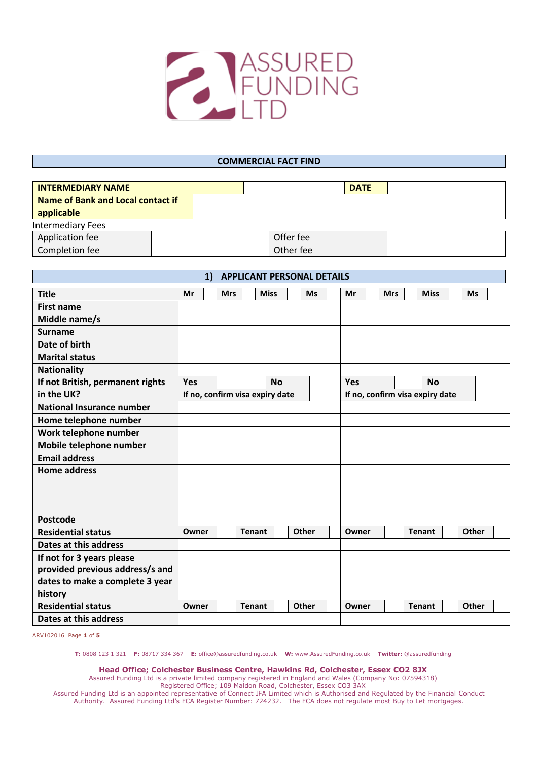

#### **COMMERCIAL FACT FIND**

| <b>INTERMEDIARY NAME</b>          |           | <b>DATE</b> |
|-----------------------------------|-----------|-------------|
| Name of Bank and Local contact if |           |             |
| applicable                        |           |             |
| <b>Intermediary Fees</b>          |           |             |
| Application fee                   | Offer fee |             |
| Completion fee                    | Other fee |             |

| <b>APPLICANT PERSONAL DETAILS</b><br>1)                      |                                 |  |               |           |       |    |            |                                 |             |               |           |              |  |
|--------------------------------------------------------------|---------------------------------|--|---------------|-----------|-------|----|------------|---------------------------------|-------------|---------------|-----------|--------------|--|
| <b>Title</b><br><b>Ms</b><br>Mr<br><b>Mrs</b><br><b>Miss</b> |                                 |  |               |           |       | Mr | <b>Mrs</b> |                                 | <b>Miss</b> | <b>Ms</b>     |           |              |  |
| <b>First name</b>                                            |                                 |  |               |           |       |    |            |                                 |             |               |           |              |  |
| Middle name/s                                                |                                 |  |               |           |       |    |            |                                 |             |               |           |              |  |
| Surname                                                      |                                 |  |               |           |       |    |            |                                 |             |               |           |              |  |
| Date of birth                                                |                                 |  |               |           |       |    |            |                                 |             |               |           |              |  |
| <b>Marital status</b>                                        |                                 |  |               |           |       |    |            |                                 |             |               |           |              |  |
| <b>Nationality</b>                                           |                                 |  |               |           |       |    |            |                                 |             |               |           |              |  |
| If not British, permanent rights                             | <b>Yes</b>                      |  |               | <b>No</b> |       |    |            | <b>Yes</b>                      |             |               | <b>No</b> |              |  |
| in the UK?                                                   | If no, confirm visa expiry date |  |               |           |       |    |            | If no, confirm visa expiry date |             |               |           |              |  |
| <b>National Insurance number</b>                             |                                 |  |               |           |       |    |            |                                 |             |               |           |              |  |
| Home telephone number                                        |                                 |  |               |           |       |    |            |                                 |             |               |           |              |  |
| Work telephone number                                        |                                 |  |               |           |       |    |            |                                 |             |               |           |              |  |
| Mobile telephone number                                      |                                 |  |               |           |       |    |            |                                 |             |               |           |              |  |
| <b>Email address</b>                                         |                                 |  |               |           |       |    |            |                                 |             |               |           |              |  |
| <b>Home address</b>                                          |                                 |  |               |           |       |    |            |                                 |             |               |           |              |  |
|                                                              |                                 |  |               |           |       |    |            |                                 |             |               |           |              |  |
|                                                              |                                 |  |               |           |       |    |            |                                 |             |               |           |              |  |
|                                                              |                                 |  |               |           |       |    |            |                                 |             |               |           |              |  |
| Postcode                                                     |                                 |  |               |           |       |    |            |                                 |             |               |           |              |  |
| <b>Residential status</b>                                    | Owner                           |  | <b>Tenant</b> |           | Other |    |            | Owner                           |             | <b>Tenant</b> |           | <b>Other</b> |  |
| Dates at this address                                        |                                 |  |               |           |       |    |            |                                 |             |               |           |              |  |
| If not for 3 years please                                    |                                 |  |               |           |       |    |            |                                 |             |               |           |              |  |
| provided previous address/s and                              |                                 |  |               |           |       |    |            |                                 |             |               |           |              |  |
| dates to make a complete 3 year                              |                                 |  |               |           |       |    |            |                                 |             |               |           |              |  |
| history                                                      |                                 |  |               |           |       |    |            |                                 |             |               |           |              |  |
| <b>Residential status</b>                                    | Owner                           |  | <b>Tenant</b> |           | Other |    |            | Owner                           |             | <b>Tenant</b> |           | Other        |  |
| Dates at this address                                        |                                 |  |               |           |       |    |            |                                 |             |               |           |              |  |

ARV102016 Page **1** of **5**

**T:** 0808 123 1 321 **F:** 08717 334 367 **E:** office@assuredfunding.co.uk **W:** www.AssuredFunding.co.uk **Twitter:** @assuredfunding

**Head Office; Colchester Business Centre, Hawkins Rd, Colchester, Essex CO2 8JX**

Assured Funding Ltd is a private limited company registered in England and Wales (Company No: 07594318)

Registered Office; 109 Maldon Road, Colchester, Essex CO3 3AX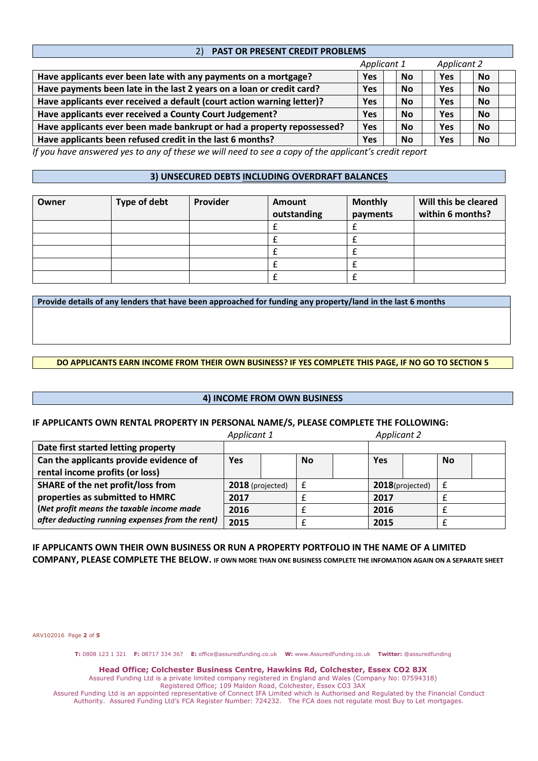| <b>PAST OR PRESENT CREDIT PROBLEMS</b><br>2)                           |            |           |            |           |  |  |  |
|------------------------------------------------------------------------|------------|-----------|------------|-----------|--|--|--|
| Applicant 1<br><b>Applicant 2</b>                                      |            |           |            |           |  |  |  |
| Have applicants ever been late with any payments on a mortgage?        | <b>Yes</b> | <b>No</b> | <b>Yes</b> | <b>No</b> |  |  |  |
| Have payments been late in the last 2 years on a loan or credit card?  | <b>Yes</b> | <b>No</b> | <b>Yes</b> | <b>No</b> |  |  |  |
| Have applicants ever received a default (court action warning letter)? | <b>Yes</b> | <b>No</b> | <b>Yes</b> | <b>No</b> |  |  |  |
| Have applicants ever received a County Court Judgement?                | <b>Yes</b> | <b>No</b> | <b>Yes</b> | <b>No</b> |  |  |  |
| Have applicants ever been made bankrupt or had a property repossessed? | <b>Yes</b> | <b>No</b> | <b>Yes</b> | <b>No</b> |  |  |  |
| Have applicants been refused credit in the last 6 months?              | <b>Yes</b> | <b>No</b> | <b>Yes</b> | <b>No</b> |  |  |  |

*If you have answered yes to any of these we will need to see a copy of the applicant's credit report*

# **3) UNSECURED DEBTS INCLUDING OVERDRAFT BALANCES**

| Owner | Type of debt | Provider | Amount<br>outstanding | <b>Monthly</b><br>payments | Will this be cleared<br>within 6 months? |
|-------|--------------|----------|-----------------------|----------------------------|------------------------------------------|
|       |              |          |                       |                            |                                          |
|       |              |          |                       |                            |                                          |
|       |              |          |                       |                            |                                          |
|       |              |          |                       |                            |                                          |
|       |              |          |                       |                            |                                          |

**Provide details of any lenders that have been approached for funding any property/land in the last 6 months**

## **DO APPLICANTS EARN INCOME FROM THEIR OWN BUSINESS? IF YES COMPLETE THIS PAGE, IF NO GO TO SECTION 5**

### **4) INCOME FROM OWN BUSINESS**

### **IF APPLICANTS OWN RENTAL PROPERTY IN PERSONAL NAME/S, PLEASE COMPLETE THE FOLLOWING:**

|                                                 | Applicant 1      |  |           | <b>Applicant 2</b> |                 |  |           |  |
|-------------------------------------------------|------------------|--|-----------|--------------------|-----------------|--|-----------|--|
| Date first started letting property             |                  |  |           |                    |                 |  |           |  |
| Can the applicants provide evidence of          | <b>Yes</b>       |  | <b>No</b> |                    | Yes             |  | <b>No</b> |  |
| rental income profits (or loss)                 |                  |  |           |                    |                 |  |           |  |
| <b>SHARE of the net profit/loss from</b>        | 2018 (projected) |  |           |                    | 2018(projected) |  |           |  |
| properties as submitted to HMRC                 | 2017             |  |           |                    | 2017            |  |           |  |
| (Net profit means the taxable income made       | 2016             |  |           |                    | 2016            |  |           |  |
| after deducting running expenses from the rent) | 2015             |  |           |                    | 2015            |  |           |  |

# **IF APPLICANTS OWN THEIR OWN BUSINESS OR RUN A PROPERTY PORTFOLIO IN THE NAME OF A LIMITED**

**COMPANY, PLEASE COMPLETE THE BELOW. IF OWN MORE THAN ONE BUSINESS COMPLETE THE INFOMATION AGAIN ON A SEPARATE SHEET**

ARV102016 Page **2** of **5**

**T:** 0808 123 1 321 **F:** 08717 334 367 **E:** office@assuredfunding.co.uk **W:** www.AssuredFunding.co.uk **Twitter:** @assuredfunding

**Head Office; Colchester Business Centre, Hawkins Rd, Colchester, Essex CO2 8JX**

Assured Funding Ltd is a private limited company registered in England and Wales (Company No: 07594318) Registered Office; 109 Maldon Road, Colchester, Essex CO3 3AX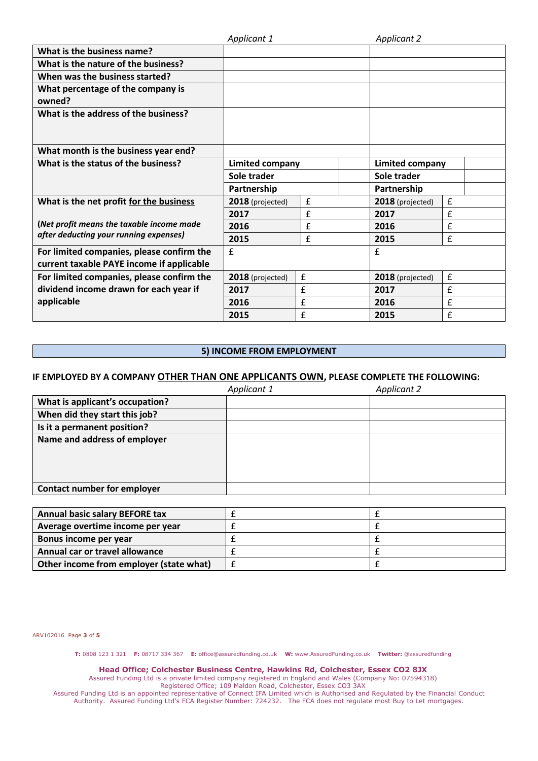|                                           | Applicant 1      |                    | <b>Applicant 2</b>     |                    |
|-------------------------------------------|------------------|--------------------|------------------------|--------------------|
| What is the business name?                |                  |                    |                        |                    |
| What is the nature of the business?       |                  |                    |                        |                    |
| When was the business started?            |                  |                    |                        |                    |
| What percentage of the company is         |                  |                    |                        |                    |
| owned?                                    |                  |                    |                        |                    |
| What is the address of the business?      |                  |                    |                        |                    |
|                                           |                  |                    |                        |                    |
|                                           |                  |                    |                        |                    |
| What month is the business year end?      |                  |                    |                        |                    |
| What is the status of the business?       | Limited company  |                    | <b>Limited company</b> |                    |
|                                           | Sole trader      |                    | Sole trader            |                    |
|                                           | Partnership      |                    | Partnership            |                    |
| What is the net profit for the business   | 2018 (projected) | $\pmb{\mathsf{f}}$ | 2018 (projected)       | $\pmb{\mathsf{f}}$ |
|                                           | 2017             | £                  | 2017                   | £                  |
| (Net profit means the taxable income made | 2016             | £                  | 2016                   | £                  |
| after deducting your running expenses)    | 2015             | £                  | 2015                   | $\pmb{\mathsf{f}}$ |
| For limited companies, please confirm the | £                |                    | f                      |                    |
| current taxable PAYE income if applicable |                  |                    |                        |                    |
| For limited companies, please confirm the | 2018 (projected) | £                  | 2018 (projected)       | $\pmb{\mathsf{f}}$ |
| dividend income drawn for each year if    | £<br>2017        |                    | 2017                   | £                  |
| applicable                                | 2016             | £                  | 2016                   | £                  |
|                                           | 2015             | £                  | 2015                   | $\pmb{\mathsf{f}}$ |

# **5) INCOME FROM EMPLOYMENT**

# **IF EMPLOYED BY A COMPANY OTHER THAN ONE APPLICANTS OWN, PLEASE COMPLETE THE FOLLOWING:**

|                                    | Applicant 1 | <b>Applicant 2</b> |
|------------------------------------|-------------|--------------------|
| What is applicant's occupation?    |             |                    |
| When did they start this job?      |             |                    |
| Is it a permanent position?        |             |                    |
| Name and address of employer       |             |                    |
| <b>Contact number for employer</b> |             |                    |

| <b>Annual basic salary BEFORE tax</b>   |  |
|-----------------------------------------|--|
| Average overtime income per year        |  |
| Bonus income per year                   |  |
| Annual car or travel allowance          |  |
| Other income from employer (state what) |  |

ARV102016 Page **3** of **5**

**T:** 0808 123 1 321 **F:** 08717 334 367 **E:** office@assuredfunding.co.uk **W:** www.AssuredFunding.co.uk **Twitter:** @assuredfunding

**Head Office; Colchester Business Centre, Hawkins Rd, Colchester, Essex CO2 8JX**

Assured Funding Ltd is a private limited company registered in England and Wales (Company No: 07594318) Registered Office; 109 Maldon Road, Colchester, Essex CO3 3AX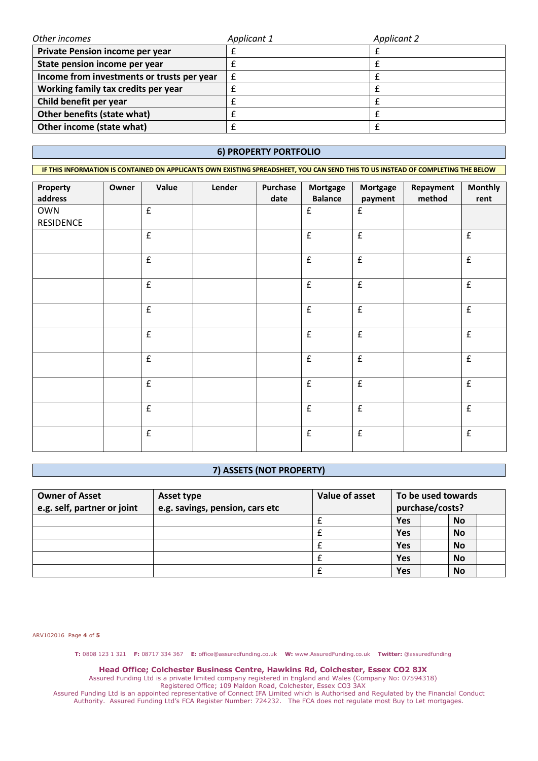| Other incomes                              | Applicant 1 | <b>Applicant 2</b> |
|--------------------------------------------|-------------|--------------------|
| Private Pension income per year            |             |                    |
| State pension income per year              |             |                    |
| Income from investments or trusts per year |             |                    |
| Working family tax credits per year        |             |                    |
| Child benefit per year                     |             |                    |
| Other benefits (state what)                |             |                    |
| Other income (state what)                  |             |                    |

## **6) PROPERTY PORTFOLIO**

**IF THIS INFORMATION IS CONTAINED ON APPLICANTS OWN EXISTING SPREADSHEET, YOU CAN SEND THIS TO US INSTEAD OF COMPLETING THE BELOW Property address Owner Value Lender Purchase date Mortgage Balance Mortgage payment Repayment method Monthly rent** OWN RESIDENCE  $f$   $\left| \begin{array}{c} \end{array} \right|$   $f$   $\left| \begin{array}{c} \end{array} \right|$  $f$   $f$   $f$   $f$ 

|  | $\pmb{\mathsf{f}}$ |  | f                  | f                  | £                  |
|--|--------------------|--|--------------------|--------------------|--------------------|
|  | $\mathbf f$        |  | $\pmb{\mathsf{f}}$ | $\pmb{\mathsf{f}}$ | $\pmb{\mathrm{f}}$ |
|  | $\pmb{\mathrm{f}}$ |  | $\pmb{\mathsf{f}}$ | f                  | $\pmb{\mathsf{f}}$ |
|  | $\pmb{\mathsf{f}}$ |  | f                  | $\pmb{\mathsf{f}}$ | $\pmb{\mathrm{f}}$ |
|  | $\pmb{\mathsf{f}}$ |  | $\pmb{\mathsf{f}}$ | $\pmb{\mathsf{f}}$ | $\pmb{\mathrm{f}}$ |
|  | $\pmb{\mathrm{f}}$ |  | $\pmb{\mathsf{f}}$ | f                  | $\pmb{\mathsf{f}}$ |
|  | £                  |  | $\pmb{\mathsf{f}}$ | $\pmb{\mathsf{f}}$ | $\pmb{\mathsf{f}}$ |
|  | £                  |  | f                  | f                  | $\pmb{\mathsf{f}}$ |

# **7) ASSETS (NOT PROPERTY)**

| <b>Owner of Asset</b><br>e.g. self, partner or joint | Asset type<br>e.g. savings, pension, cars etc | Value of asset | To be used towards<br>purchase/costs? |           |  |
|------------------------------------------------------|-----------------------------------------------|----------------|---------------------------------------|-----------|--|
|                                                      |                                               |                | Yes                                   | <b>No</b> |  |
|                                                      |                                               |                | Yes                                   | <b>No</b> |  |
|                                                      |                                               |                | Yes                                   | <b>No</b> |  |
|                                                      |                                               |                | Yes                                   | <b>No</b> |  |
|                                                      |                                               |                | Yes                                   | No        |  |

ARV102016 Page **4** of **5**

**T:** 0808 123 1 321 **F:** 08717 334 367 **E:** office@assuredfunding.co.uk **W:** www.AssuredFunding.co.uk **Twitter:** @assuredfunding

**Head Office; Colchester Business Centre, Hawkins Rd, Colchester, Essex CO2 8JX**

Assured Funding Ltd is a private limited company registered in England and Wales (Company No: 07594318) Registered Office; 109 Maldon Road, Colchester, Essex CO3 3AX